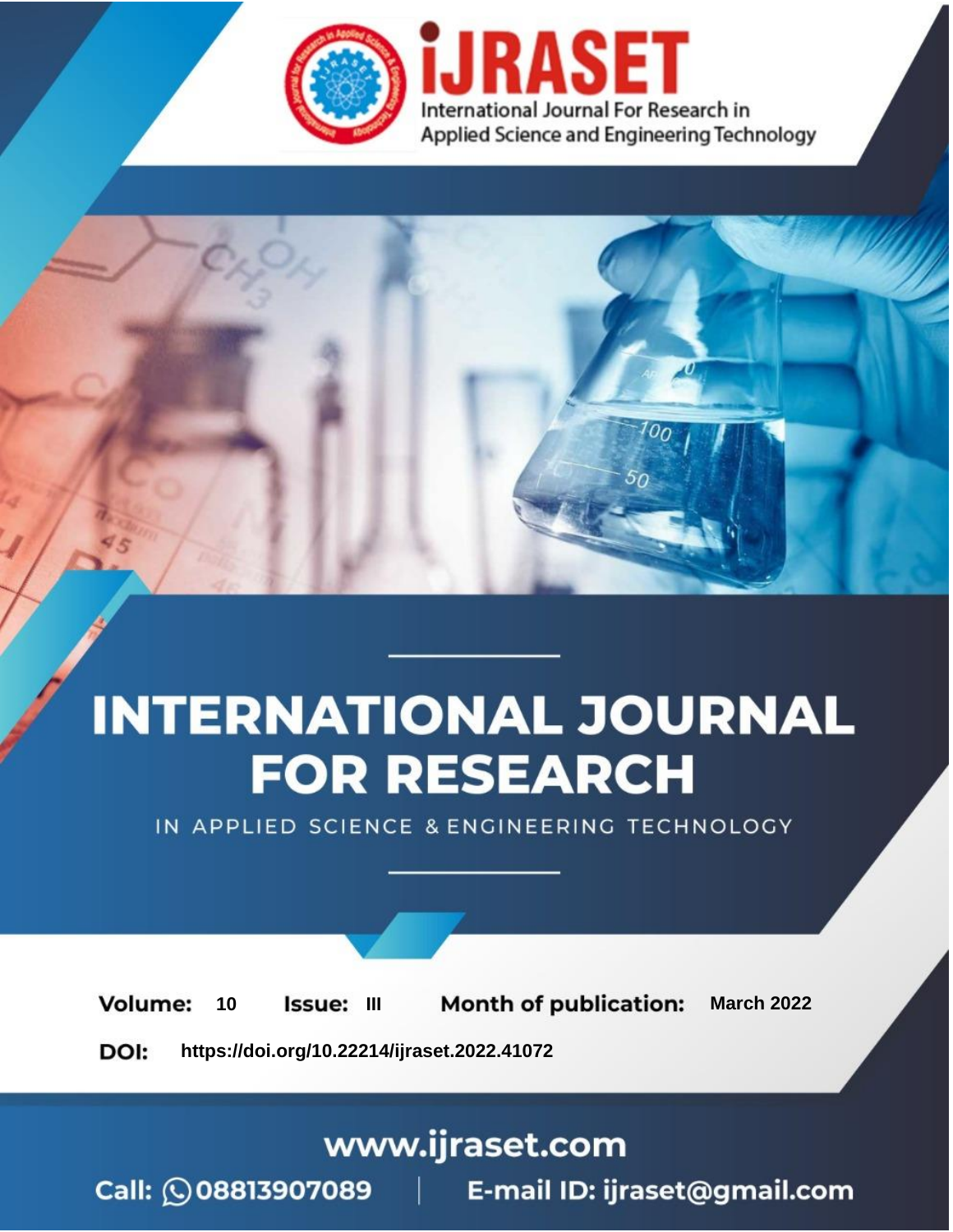

# **INTERNATIONAL JOURNAL FOR RESEARCH**

IN APPLIED SCIENCE & ENGINEERING TECHNOLOGY

**Month of publication: Volume:** 10 Issue: III **March 2022** DOI: https://doi.org/10.22214/ijraset.2022.41072

www.ijraset.com

Call: 008813907089 | E-mail ID: ijraset@gmail.com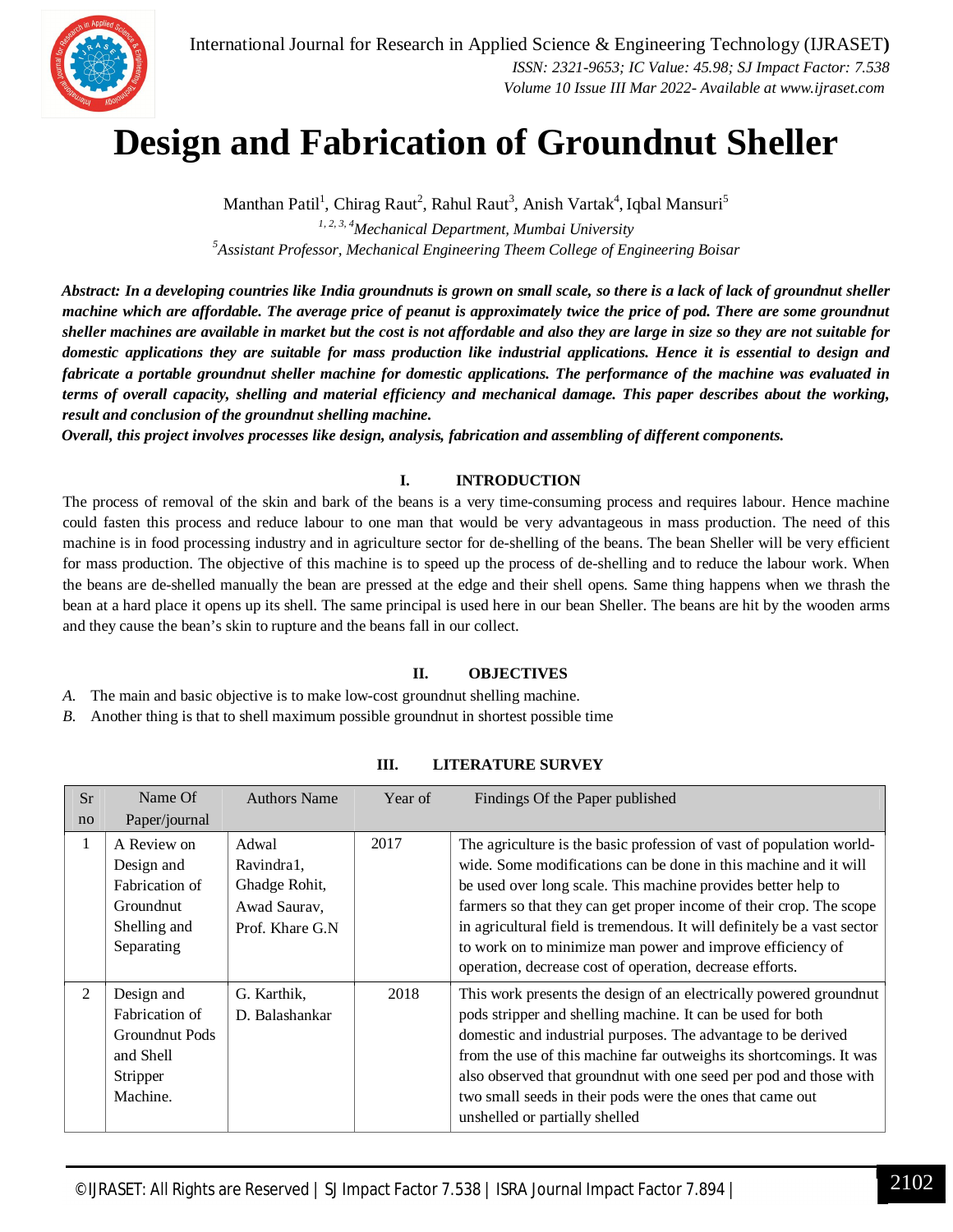

### **Design and Fabrication of Groundnut Sheller**

Manthan Patil<sup>1</sup>, Chirag Raut<sup>2</sup>, Rahul Raut<sup>3</sup>, Anish Vartak<sup>4</sup>, Iqbal Mansuri<sup>5</sup>

*1, 2, 3, 4Mechanical Department, Mumbai University <sup>5</sup>Assistant Professor, Mechanical Engineering Theem College of Engineering Boisar*

*Abstract: In a developing countries like India groundnuts is grown on small scale, so there is a lack of lack of groundnut sheller machine which are affordable. The average price of peanut is approximately twice the price of pod. There are some groundnut sheller machines are available in market but the cost is not affordable and also they are large in size so they are not suitable for domestic applications they are suitable for mass production like industrial applications. Hence it is essential to design and fabricate a portable groundnut sheller machine for domestic applications. The performance of the machine was evaluated in terms of overall capacity, shelling and material efficiency and mechanical damage. This paper describes about the working, result and conclusion of the groundnut shelling machine.*

*Overall, this project involves processes like design, analysis, fabrication and assembling of different components.*

#### **I. INTRODUCTION**

The process of removal of the skin and bark of the beans is a very time-consuming process and requires labour. Hence machine could fasten this process and reduce labour to one man that would be very advantageous in mass production. The need of this machine is in food processing industry and in agriculture sector for de-shelling of the beans. The bean Sheller will be very efficient for mass production. The objective of this machine is to speed up the process of de-shelling and to reduce the labour work. When the beans are de-shelled manually the bean are pressed at the edge and their shell opens. Same thing happens when we thrash the bean at a hard place it opens up its shell. The same principal is used here in our bean Sheller. The beans are hit by the wooden arms and they cause the bean's skin to rupture and the beans fall in our collect.

#### **II. OBJECTIVES**

*A.* The main and basic objective is to make low-cost groundnut shelling machine.

*B.* Another thing is that to shell maximum possible groundnut in shortest possible time

| <b>Sr</b>    | Name Of                                                                                    | <b>Authors Name</b>                                                      | Year of | Findings Of the Paper published                                                                                                                                                                                                                                                                                                                                                                                                                                                        |
|--------------|--------------------------------------------------------------------------------------------|--------------------------------------------------------------------------|---------|----------------------------------------------------------------------------------------------------------------------------------------------------------------------------------------------------------------------------------------------------------------------------------------------------------------------------------------------------------------------------------------------------------------------------------------------------------------------------------------|
| no           | Paper/journal                                                                              |                                                                          |         |                                                                                                                                                                                                                                                                                                                                                                                                                                                                                        |
| $\mathbf{1}$ | A Review on<br>Design and<br>Fabrication of<br>Groundnut<br>Shelling and<br>Separating     | Adwal<br>Ravindra1,<br>Ghadge Rohit,<br>Awad Saurav,<br>Prof. Khare G.N. | 2017    | The agriculture is the basic profession of vast of population world-<br>wide. Some modifications can be done in this machine and it will<br>be used over long scale. This machine provides better help to<br>farmers so that they can get proper income of their crop. The scope<br>in agricultural field is tremendous. It will definitely be a vast sector<br>to work on to minimize man power and improve efficiency of<br>operation, decrease cost of operation, decrease efforts. |
| 2            | Design and<br>Fabrication of<br><b>Groundnut Pods</b><br>and Shell<br>Stripper<br>Machine. | G. Karthik,<br>D. Balashankar                                            | 2018    | This work presents the design of an electrically powered ground nut<br>pods stripper and shelling machine. It can be used for both<br>domestic and industrial purposes. The advantage to be derived<br>from the use of this machine far outweighs its shortcomings. It was<br>also observed that ground nut with one seed per pod and those with<br>two small seeds in their pods were the ones that came out<br>unshelled or partially shelled                                        |

#### **III. LITERATURE SURVEY**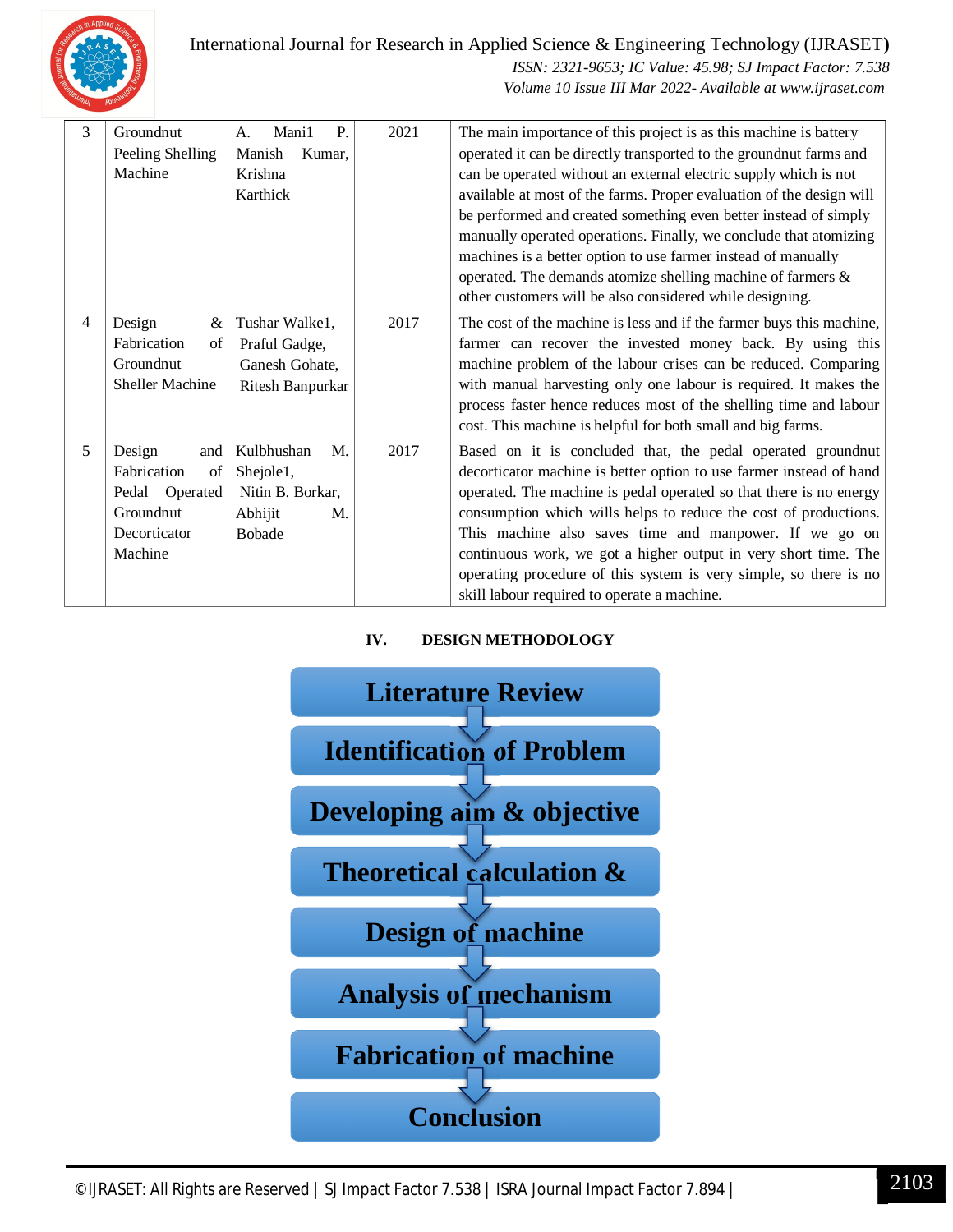

International Journal for Research in Applied Science & Engineering Technology (IJRASET**)**

 *ISSN: 2321-9653; IC Value: 45.98; SJ Impact Factor: 7.538 Volume 10 Issue III Mar 2022- Available at www.ijraset.com*

| 3 | Groundnut              | Mani1<br>P.<br>A. | 2021 | The main importance of this project is as this machine is battery    |  |  |
|---|------------------------|-------------------|------|----------------------------------------------------------------------|--|--|
|   | Peeling Shelling       | Manish<br>Kumar,  |      | operated it can be directly transported to the groundnut farms and   |  |  |
|   | Machine                | Krishna           |      | can be operated without an external electric supply which is not     |  |  |
|   |                        | Karthick          |      | available at most of the farms. Proper evaluation of the design will |  |  |
|   |                        |                   |      | be performed and created something even better instead of simply     |  |  |
|   |                        |                   |      | manually operated operations. Finally, we conclude that atomizing    |  |  |
|   |                        |                   |      | machines is a better option to use farmer instead of manually        |  |  |
|   |                        |                   |      | operated. The demands atomize shelling machine of farmers &          |  |  |
|   |                        |                   |      | other customers will be also considered while designing.             |  |  |
| 4 | Design<br>&            | Tushar Walke1,    | 2017 | The cost of the machine is less and if the farmer buys this machine, |  |  |
|   | Fabrication<br>of      | Praful Gadge,     |      | farmer can recover the invested money back. By using this            |  |  |
|   | Groundnut              | Ganesh Gohate,    |      | machine problem of the labour crises can be reduced. Comparing       |  |  |
|   | Sheller Machine        | Ritesh Banpurkar  |      | with manual harvesting only one labour is required. It makes the     |  |  |
|   |                        |                   |      | process faster hence reduces most of the shelling time and labour    |  |  |
|   |                        |                   |      | cost. This machine is helpful for both small and big farms.          |  |  |
| 5 | Design<br>and          | Kulbhushan<br>M.  | 2017 | Based on it is concluded that, the pedal operated groundnut          |  |  |
|   | Fabrication<br>of      | Shejole1,         |      | decorticator machine is better option to use farmer instead of hand  |  |  |
|   | Operated<br>Pedal      | Nitin B. Borkar,  |      | operated. The machine is pedal operated so that there is no energy   |  |  |
|   | Groundnut              | Abhijit<br>M.     |      | consumption which wills helps to reduce the cost of productions.     |  |  |
|   | Decorticator<br>Bobade |                   |      | This machine also saves time and manpower. If we go on               |  |  |
|   | Machine                |                   |      | continuous work, we got a higher output in very short time. The      |  |  |
|   |                        |                   |      | operating procedure of this system is very simple, so there is no    |  |  |
|   |                        |                   |      | skill labour required to operate a machine.                          |  |  |

#### **IV. DESIGN METHODOLOGY**

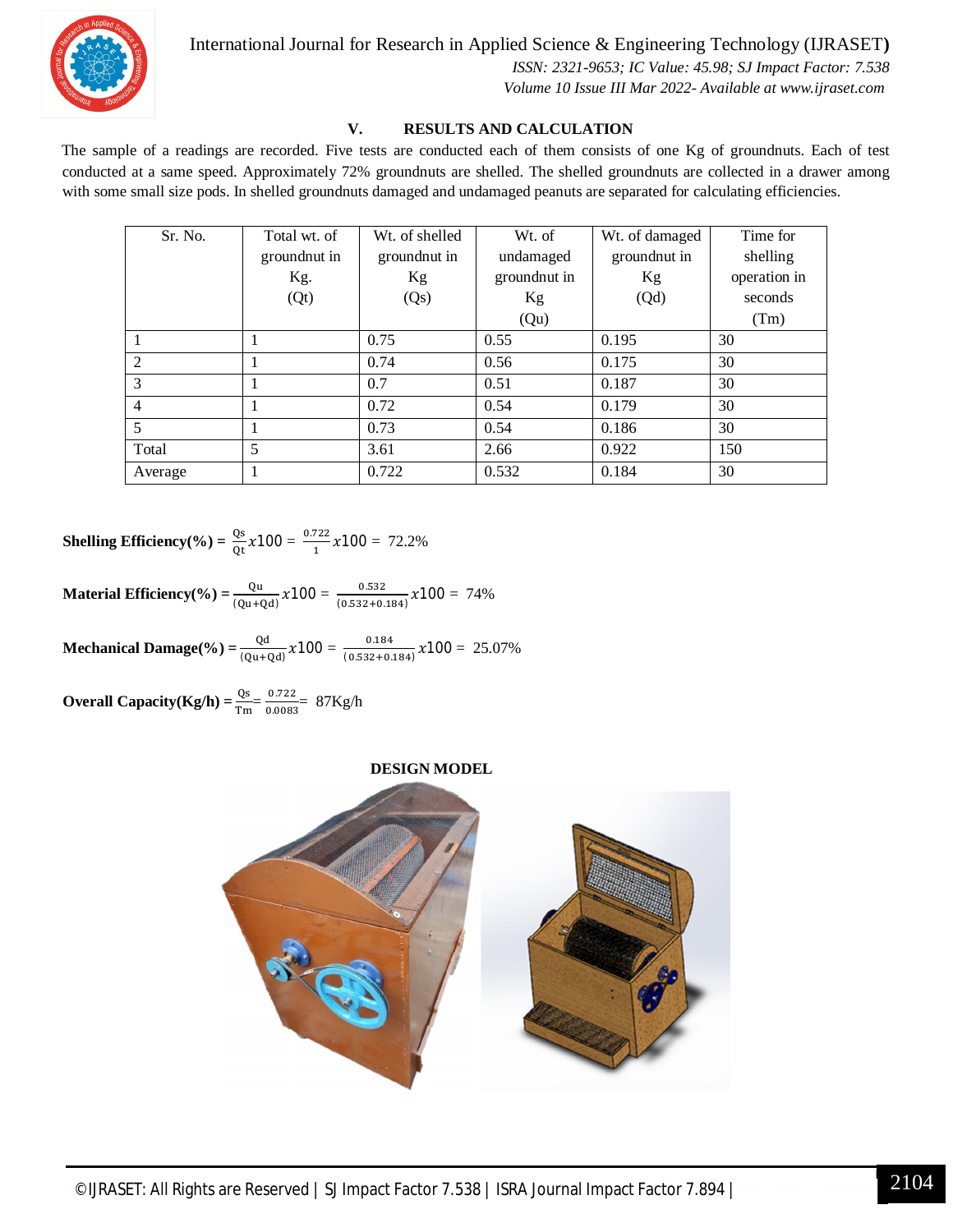

International Journal for Research in Applied Science & Engineering Technology (IJRASET**)**

 *ISSN: 2321-9653; IC Value: 45.98; SJ Impact Factor: 7.538 Volume 10 Issue III Mar 2022- Available at www.ijraset.com*

#### **V. RESULTS AND CALCULATION**

The sample of a readings are recorded. Five tests are conducted each of them consists of one Kg of groundnuts. Each of test conducted at a same speed. Approximately 72% groundnuts are shelled. The shelled groundnuts are collected in a drawer among with some small size pods. In shelled groundnuts damaged and undamaged peanuts are separated for calculating efficiencies.

| Sr. No.        | Total wt. of | Wt. of shelled | Wt. of        | Wt. of damaged | Time for     |
|----------------|--------------|----------------|---------------|----------------|--------------|
|                | groundnut in | ground nut in  | undamaged     | groundnut in   | shelling     |
|                | Kg.          | Kg             | ground nut in | Kg             | operation in |
|                | (Qt)         | (Qs)           | Kg            | (Qd)           | seconds      |
|                |              |                | (Qu)          |                | (Tm)         |
|                |              | 0.75           | 0.55          | 0.195          | 30           |
| 2              |              | 0.74           | 0.56          | 0.175          | 30           |
| 3              |              | 0.7            | 0.51          | 0.187          | 30           |
| $\overline{4}$ |              | 0.72           | 0.54          | 0.179          | 30           |
| 5              |              | 0.73           | 0.54          | 0.186          | 30           |
| Total          | 5            | 3.61           | 2.66          | 0.922          | 150          |
| Average        |              | 0.722          | 0.532         | 0.184          | 30           |

**Shelling Efficiency**(%) =  $\frac{Qs}{Qt} \chi$ 100 =  $\frac{0.722}{1}$  $\frac{x_{22}}{1}$  x 100 = 72.2%

**Material Efficiency(%)** =  $\frac{Qu}{(Qu+Qd)} \chi$ 100 =  $\frac{0.532}{(0.532+0.532)}$  $\frac{0.332}{(0.532+0.184)}$   $x100 = 74\%$ 

**Mechanical Damage(%)** =  $\frac{Qd}{(Qu+Qd)} \chi$ 100 =  $\frac{0.184}{(0.532+0.164)}$  $\frac{0.184}{(0.532+0.184)}$   $x100 = 25.07\%$ 

**Overall Capacity(Kg/h)** =  $\frac{\text{Qs}}{\text{Tm}} = \frac{0.722}{0.0083}$  $\frac{0.722}{0.0083}$  = 87Kg/h

#### **DESIGN MODEL**

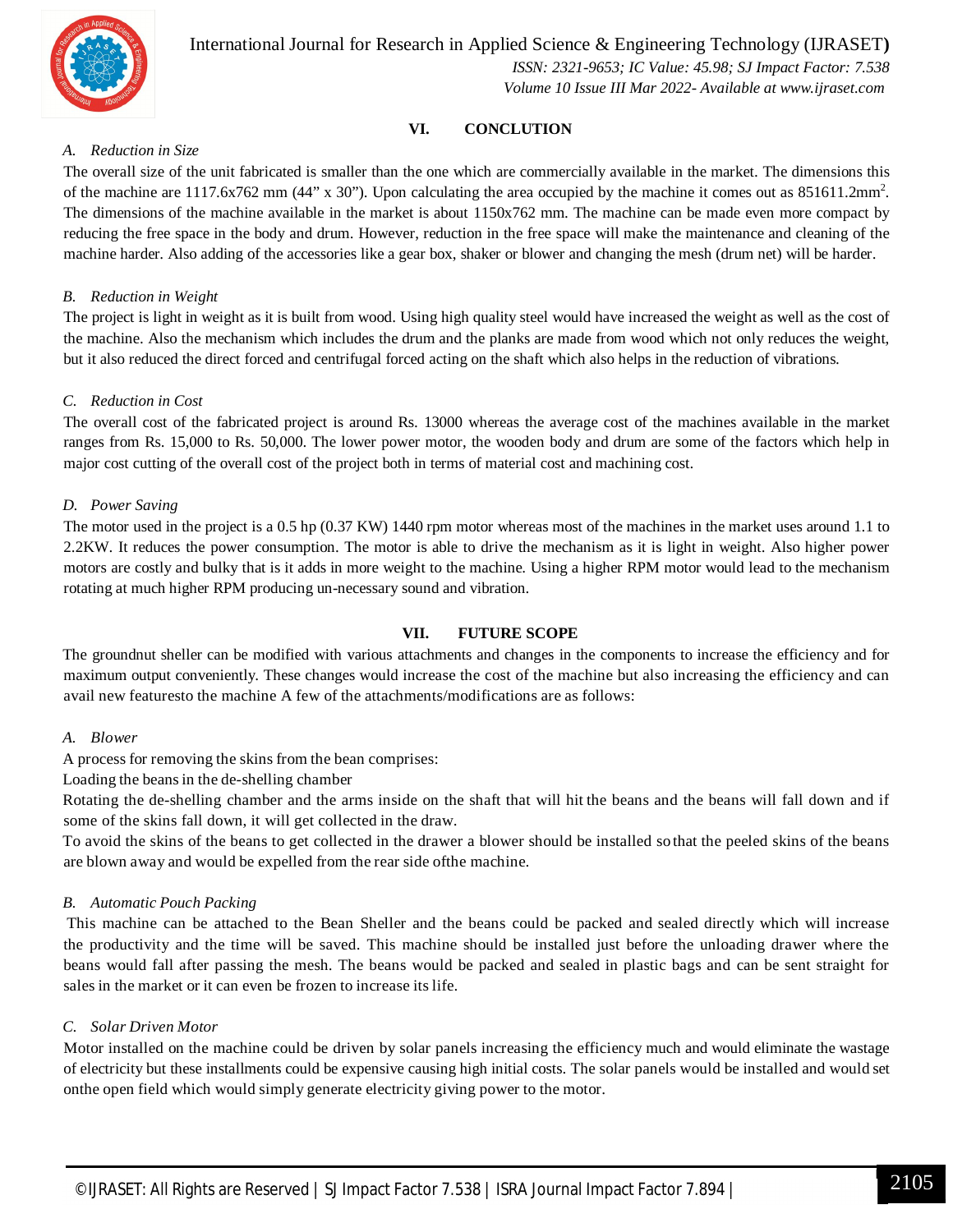

International Journal for Research in Applied Science & Engineering Technology (IJRASET**)**

 *ISSN: 2321-9653; IC Value: 45.98; SJ Impact Factor: 7.538 Volume 10 Issue III Mar 2022- Available at www.ijraset.com*

#### **VI. CONCLUTION**

#### *A. Reduction in Size*

The overall size of the unit fabricated is smaller than the one which are commercially available in the market. The dimensions this of the machine are 1117.6x762 mm (44" x 30"). Upon calculating the area occupied by the machine it comes out as  $851611.2mm^2$ . The dimensions of the machine available in the market is about 1150x762 mm. The machine can be made even more compact by reducing the free space in the body and drum. However, reduction in the free space will make the maintenance and cleaning of the machine harder. Also adding of the accessories like a gear box, shaker or blower and changing the mesh (drum net) will be harder.

#### *B. Reduction in Weight*

The project is light in weight as it is built from wood. Using high quality steel would have increased the weight as well as the cost of the machine. Also the mechanism which includes the drum and the planks are made from wood which not only reduces the weight, but it also reduced the direct forced and centrifugal forced acting on the shaft which also helps in the reduction of vibrations.

#### *C. Reduction in Cost*

The overall cost of the fabricated project is around Rs. 13000 whereas the average cost of the machines available in the market ranges from Rs. 15,000 to Rs. 50,000. The lower power motor, the wooden body and drum are some of the factors which help in major cost cutting of the overall cost of the project both in terms of material cost and machining cost.

#### *D. Power Saving*

The motor used in the project is a 0.5 hp (0.37 KW) 1440 rpm motor whereas most of the machines in the market uses around 1.1 to 2.2KW. It reduces the power consumption. The motor is able to drive the mechanism as it is light in weight. Also higher power motors are costly and bulky that is it adds in more weight to the machine. Using a higher RPM motor would lead to the mechanism rotating at much higher RPM producing un-necessary sound and vibration.

#### **VII. FUTURE SCOPE**

The groundnut sheller can be modified with various attachments and changes in the components to increase the efficiency and for maximum output conveniently. These changes would increase the cost of the machine but also increasing the efficiency and can avail new featuresto the machine A few of the attachments/modifications are as follows:

#### *A. Blower*

A process for removing the skins from the bean comprises:

Loading the beansin the de-shelling chamber

Rotating the de-shelling chamber and the arms inside on the shaft that will hit the beans and the beans will fall down and if some of the skins fall down, it will get collected in the draw.

To avoid the skins of the beans to get collected in the drawer a blower should be installed so that the peeled skins of the beans are blown away and would be expelled from the rear side ofthe machine.

#### *B. Automatic Pouch Packing*

This machine can be attached to the Bean Sheller and the beans could be packed and sealed directly which will increase the productivity and the time will be saved. This machine should be installed just before the unloading drawer where the beans would fall after passing the mesh. The beans would be packed and sealed in plastic bags and can be sent straight for sales in the market or it can even be frozen to increase its life.

#### *C. Solar Driven Motor*

Motor installed on the machine could be driven by solar panels increasing the efficiency much and would eliminate the wastage of electricity but these installments could be expensive causing high initial costs. The solar panels would be installed and would set onthe open field which would simply generate electricity giving power to the motor.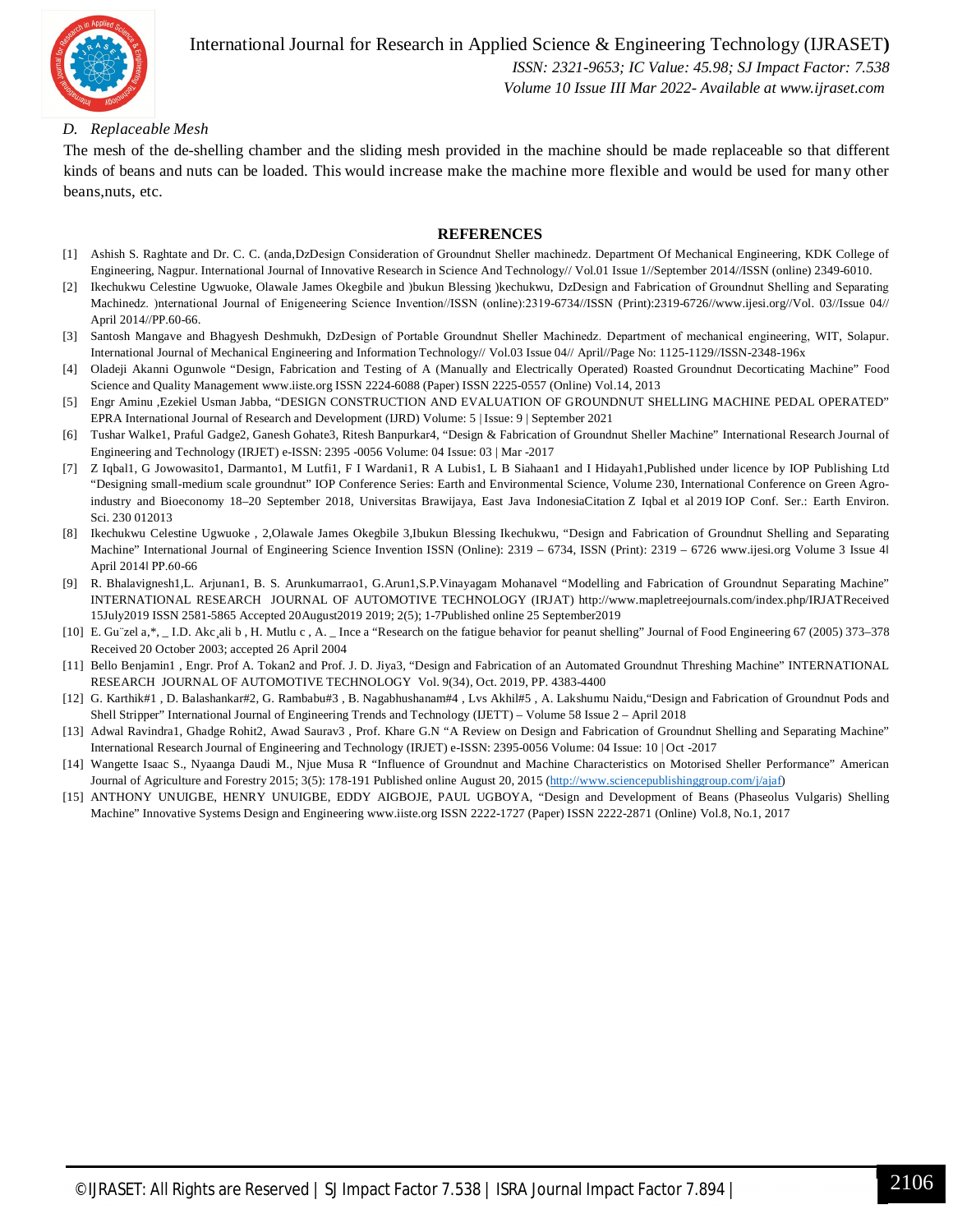

International Journal for Research in Applied Science & Engineering Technology (IJRASET**)**  *ISSN: 2321-9653; IC Value: 45.98; SJ Impact Factor: 7.538*

 *Volume 10 Issue III Mar 2022- Available at www.ijraset.com*

#### *D. Replaceable Mesh*

The mesh of the de-shelling chamber and the sliding mesh provided in the machine should be made replaceable so that different kinds of beans and nuts can be loaded. This would increase make the machine more flexible and would be used for many other beans,nuts, etc.

#### **REFERENCES**

- [1] Ashish S. Raghtate and Dr. C. C. (anda,DzDesign Consideration of Groundnut Sheller machinedz. Department Of Mechanical Engineering, KDK College of Engineering, Nagpur. International Journal of Innovative Research in Science And Technology// Vol.01 Issue 1//September 2014//ISSN (online) 2349-6010.
- [2] Ikechukwu Celestine Ugwuoke, Olawale James Okegbile and )bukun Blessing )kechukwu, DzDesign and Fabrication of Groundnut Shelling and Separating Machinedz. )nternational Journal of Enigeneering Science Invention//ISSN (online):2319-6734//ISSN (Print):2319-6726//www.ijesi.org//Vol. 03//Issue 04// April 2014//PP.60-66.
- [3] Santosh Mangave and Bhagyesh Deshmukh, DzDesign of Portable Groundnut Sheller Machinedz. Department of mechanical engineering, WIT, Solapur. International Journal of Mechanical Engineering and Information Technology// Vol.03 Issue 04// April//Page No: 1125-1129//ISSN-2348-196x
- [4] Oladeji Akanni Ogunwole "Design, Fabrication and Testing of A (Manually and Electrically Operated) Roasted Groundnut Decorticating Machine" Food Science and Quality Management www.iiste.org ISSN 2224-6088 (Paper) ISSN 2225-0557 (Online) Vol.14, 2013
- [5] Engr Aminu ,Ezekiel Usman Jabba, "DESIGN CONSTRUCTION AND EVALUATION OF GROUNDNUT SHELLING MACHINE PEDAL OPERATED" EPRA International Journal of Research and Development (IJRD) Volume: 5 | Issue: 9 | September 2021
- [6] Tushar Walke1, Praful Gadge2, Ganesh Gohate3, Ritesh Banpurkar4, "Design & Fabrication of Groundnut Sheller Machine" International Research Journal of Engineering and Technology (IRJET) e-ISSN: 2395 -0056 Volume: 04 Issue: 03 | Mar -2017
- [7] Z Iqbal1, G Jowowasito1, Darmanto1, M Lutfi1, F I Wardani1, R A Lubis1, L B Siahaan1 and I Hidayah1,Published under licence by IOP Publishing Ltd "Designing small-medium scale groundnut" IOP Conference Series: Earth and Environmental Science, Volume 230, International Conference on Green Agroindustry and Bioeconomy 18–20 September 2018, Universitas Brawijaya, East Java IndonesiaCitation Z Iqbal et al 2019 IOP Conf. Ser.: Earth Environ. Sci. 230 012013
- [8] Ikechukwu Celestine Ugwuoke , 2,Olawale James Okegbile 3,Ibukun Blessing Ikechukwu, "Design and Fabrication of Groundnut Shelling and Separating Machine" International Journal of Engineering Science Invention ISSN (Online): 2319 – 6734, ISSN (Print): 2319 – 6726 www.ijesi.org Volume 3 Issue 4 April 2014ǁ PP.60-66
- [9] R. Bhalavignesh1,L. Arjunan1, B. S. Arunkumarrao1, G.Arun1,S.P.Vinayagam Mohanavel "Modelling and Fabrication of Groundnut Separating Machine" INTERNATIONAL RESEARCH JOURNAL OF AUTOMOTIVE TECHNOLOGY (IRJAT) http://www.mapletreejournals.com/index.php/IRJATReceived 15July2019 ISSN 2581-5865 Accepted 20August2019 2019; 2(5); 1-7Published online 25 September2019
- [10] E. Gu¨zel a,\*, \_ I.D. Akc¸ali b , H. Mutlu c , A. \_ Ince a "Research on the fatigue behavior for peanut shelling" Journal of Food Engineering 67 (2005) 373–378 Received 20 October 2003; accepted 26 April 2004
- [11] Bello Benjamin1 , Engr. Prof A. Tokan2 and Prof. J. D. Jiya3, "Design and Fabrication of an Automated Groundnut Threshing Machine" INTERNATIONAL RESEARCH JOURNAL OF AUTOMOTIVE TECHNOLOGY Vol. 9(34), Oct. 2019, PP. 4383-4400
- [12] G. Karthik#1 , D. Balashankar#2, G. Rambabu#3 , B. Nagabhushanam#4 , Lvs Akhil#5 , A. Lakshumu Naidu,"Design and Fabrication of Groundnut Pods and Shell Stripper" International Journal of Engineering Trends and Technology (IJETT) – Volume 58 Issue 2 – April 2018
- [13] Adwal Ravindra1, Ghadge Rohit2, Awad Saurav3 , Prof. Khare G.N "A Review on Design and Fabrication of Groundnut Shelling and Separating Machine" International Research Journal of Engineering and Technology (IRJET) e-ISSN: 2395-0056 Volume: 04 Issue: 10 | Oct -2017
- [14] Wangette Isaac S., Nyaanga Daudi M., Njue Musa R "Influence of Groundnut and Machine Characteristics on Motorised Sheller Performance" American Journal of Agriculture and Forestry 2015; 3(5): 178-191 Published online August 20, 2015 (http://www.sciencepublishinggroup.com/j/ajaf)
- [15] ANTHONY UNUIGBE, HENRY UNUIGBE, EDDY AIGBOJE, PAUL UGBOYA, "Design and Development of Beans (Phaseolus Vulgaris) Shelling Machine" Innovative Systems Design and Engineering www.iiste.org ISSN 2222-1727 (Paper) ISSN 2222-2871 (Online) Vol.8, No.1, 2017